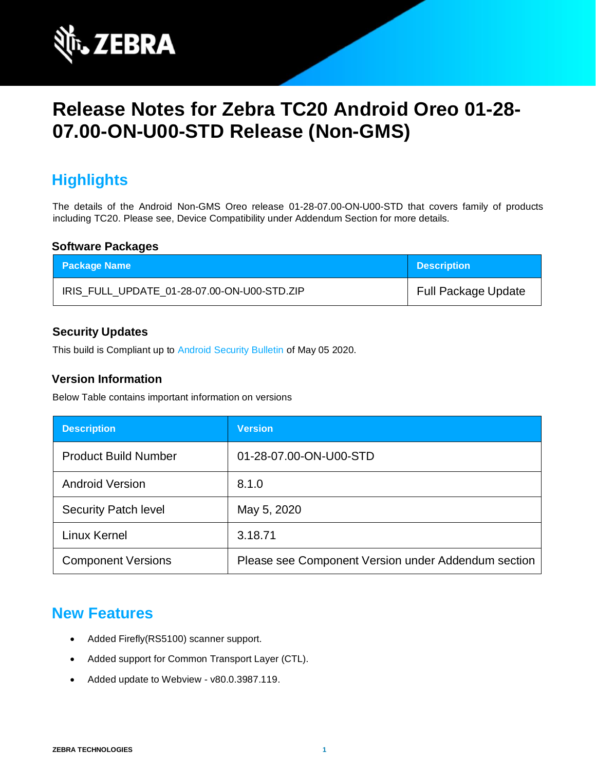

# **Release Notes for Zebra TC20 Android Oreo 01-28- 07.00-ON-U00-STD Release (Non-GMS)**

## **Highlights**

The details of the Android Non-GMS Oreo release 01-28-07.00-ON-U00-STD that covers family of products including TC20. Please see, Device Compatibility under Addendum Section for more details.

#### **Software Packages**

| <b>Package Name</b>                         | <b>Description</b>         |
|---------------------------------------------|----------------------------|
| IRIS_FULL_UPDATE_01-28-07.00-ON-U00-STD.ZIP | <b>Full Package Update</b> |

#### **Security Updates**

This build is Compliant up to [Android Security Bulletin](https://source.android.com/security/bulletin/) of May 05 2020.

#### **Version Information**

Below Table contains important information on versions

| <b>Description</b>          | <b>Version</b>                                      |
|-----------------------------|-----------------------------------------------------|
| <b>Product Build Number</b> | 01-28-07.00-ON-U00-STD                              |
| <b>Android Version</b>      | 8.1.0                                               |
| <b>Security Patch level</b> | May 5, 2020                                         |
| Linux Kernel                | 3.18.71                                             |
| <b>Component Versions</b>   | Please see Component Version under Addendum section |

### **New Features**

- Added Firefly(RS5100) scanner support.
- Added support for Common Transport Layer (CTL).
- Added update to Webview v80.0.3987.119.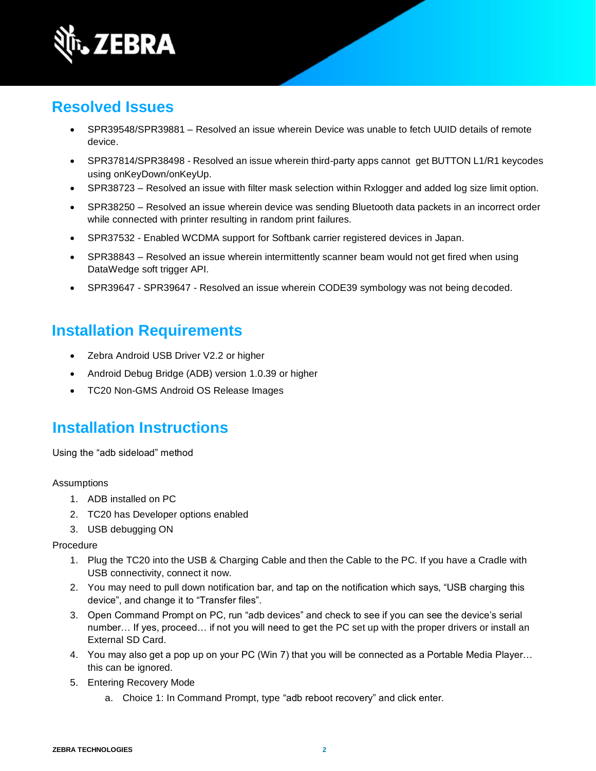

### **Resolved Issues**

- SPR39548/SPR39881 Resolved an issue wherein Device was unable to fetch UUID details of remote device.
- SPR37814/SPR38498 Resolved an issue wherein third-party apps cannot get BUTTON L1/R1 keycodes using onKeyDown/onKeyUp.
- SPR38723 Resolved an issue with filter mask selection within Rxlogger and added log size limit option.
- SPR38250 Resolved an issue wherein device was sending Bluetooth data packets in an incorrect order while connected with printer resulting in random print failures.
- SPR37532 Enabled WCDMA support for Softbank carrier registered devices in Japan.
- SPR38843 Resolved an issue wherein intermittently scanner beam would not get fired when using DataWedge soft trigger API.
- SPR39647 SPR39647 Resolved an issue wherein CODE39 symbology was not being decoded.

## **Installation Requirements**

- Zebra Android USB Driver V2.2 or higher
- Android Debug Bridge (ADB) version 1.0.39 or higher
- TC20 Non-GMS Android OS Release Images

### **Installation Instructions**

Using the "adb sideload" method

#### Assumptions

- 1. ADB installed on PC
- 2. TC20 has Developer options enabled
- 3. USB debugging ON

#### Procedure

- 1. Plug the TC20 into the USB & Charging Cable and then the Cable to the PC. If you have a Cradle with USB connectivity, connect it now.
- 2. You may need to pull down notification bar, and tap on the notification which says, "USB charging this device", and change it to "Transfer files".
- 3. Open Command Prompt on PC, run "adb devices" and check to see if you can see the device's serial number… If yes, proceed… if not you will need to get the PC set up with the proper drivers or install an External SD Card.
- 4. You may also get a pop up on your PC (Win 7) that you will be connected as a Portable Media Player… this can be ignored.
- 5. Entering Recovery Mode
	- a. Choice 1: In Command Prompt, type "adb reboot recovery" and click enter.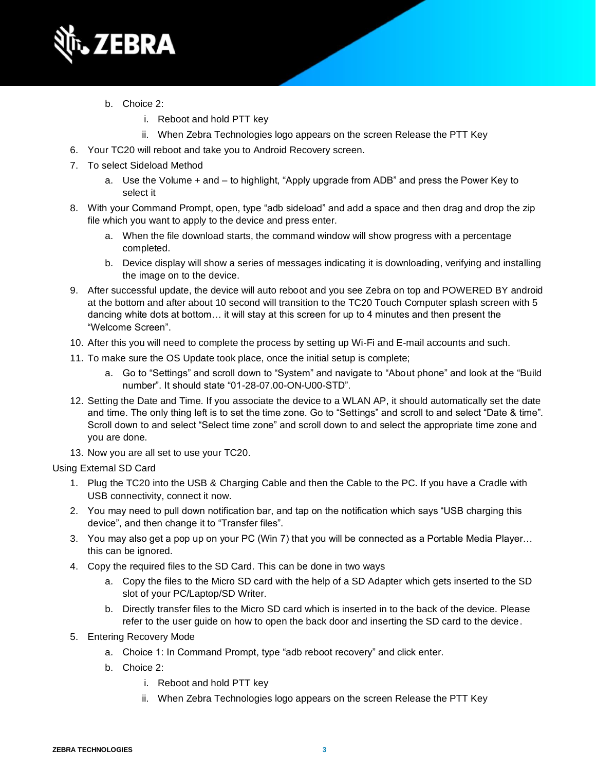

- b. Choice 2:
	- i. Reboot and hold PTT key
	- ii. When Zebra Technologies logo appears on the screen Release the PTT Key
- 6. Your TC20 will reboot and take you to Android Recovery screen.
- 7. To select Sideload Method
	- a. Use the Volume + and to highlight, "Apply upgrade from ADB" and press the Power Key to select it
- 8. With your Command Prompt, open, type "adb sideload" and add a space and then drag and drop the zip file which you want to apply to the device and press enter.
	- a. When the file download starts, the command window will show progress with a percentage completed.
	- b. Device display will show a series of messages indicating it is downloading, verifying and installing the image on to the device.
- 9. After successful update, the device will auto reboot and you see Zebra on top and POWERED BY android at the bottom and after about 10 second will transition to the TC20 Touch Computer splash screen with 5 dancing white dots at bottom… it will stay at this screen for up to 4 minutes and then present the "Welcome Screen".
- 10. After this you will need to complete the process by setting up Wi-Fi and E-mail accounts and such.
- 11. To make sure the OS Update took place, once the initial setup is complete;
	- a. Go to "Settings" and scroll down to "System" and navigate to "About phone" and look at the "Build number". It should state "01-28-07.00-ON-U00-STD".
- 12. Setting the Date and Time. If you associate the device to a WLAN AP, it should automatically set the date and time. The only thing left is to set the time zone. Go to "Settings" and scroll to and select "Date & time". Scroll down to and select "Select time zone" and scroll down to and select the appropriate time zone and you are done.
- 13. Now you are all set to use your TC20.

#### Using External SD Card

- 1. Plug the TC20 into the USB & Charging Cable and then the Cable to the PC. If you have a Cradle with USB connectivity, connect it now.
- 2. You may need to pull down notification bar, and tap on the notification which says "USB charging this device", and then change it to "Transfer files".
- 3. You may also get a pop up on your PC (Win 7) that you will be connected as a Portable Media Player… this can be ignored.
- 4. Copy the required files to the SD Card. This can be done in two ways
	- a. Copy the files to the Micro SD card with the help of a SD Adapter which gets inserted to the SD slot of your PC/Laptop/SD Writer.
	- b. Directly transfer files to the Micro SD card which is inserted in to the back of the device. Please refer to the user guide on how to open the back door and inserting the SD card to the device.
- 5. Entering Recovery Mode
	- a. Choice 1: In Command Prompt, type "adb reboot recovery" and click enter.
	- b. Choice 2:
		- i. Reboot and hold PTT key
		- ii. When Zebra Technologies logo appears on the screen Release the PTT Key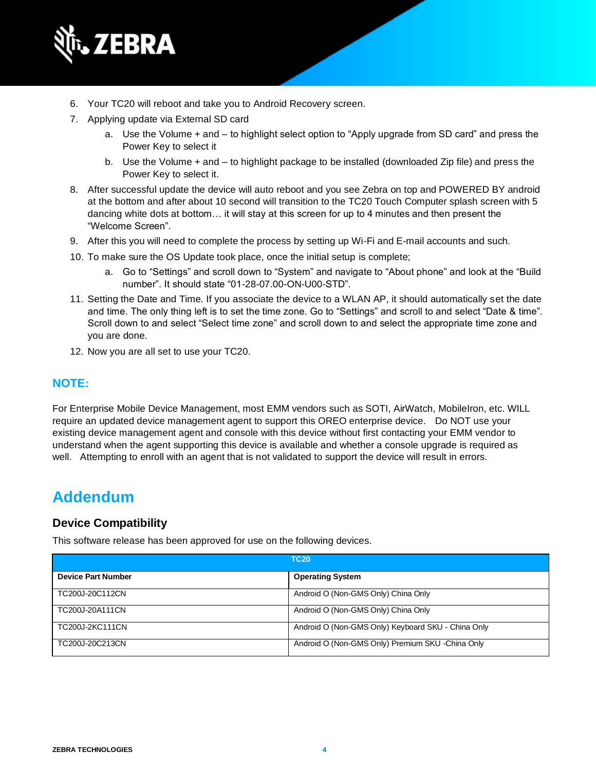

- 6. Your TC20 will reboot and take you to Android Recovery screen.
- 7. Applying update via External SD card
	- a. Use the Volume + and to highlight select option to "Apply upgrade from SD card" and press the Power Key to select it
	- b. Use the Volume + and to highlight package to be installed (downloaded Zip file) and press the Power Key to select it.
- 8. After successful update the device will auto reboot and you see Zebra on top and POWERED BY android at the bottom and after about 10 second will transition to the TC20 Touch Computer splash screen with 5 dancing white dots at bottom… it will stay at this screen for up to 4 minutes and then present the "Welcome Screen".
- 9. After this you will need to complete the process by setting up Wi-Fi and E-mail accounts and such.
- 10. To make sure the OS Update took place, once the initial setup is complete;
	- a. Go to "Settings" and scroll down to "System" and navigate to "About phone" and look at the "Build number". It should state "01-28-07.00-ON-U00-STD".
- 11. Setting the Date and Time. If you associate the device to a WLAN AP, it should automatically set the date and time. The only thing left is to set the time zone. Go to "Settings" and scroll to and select "Date & time". Scroll down to and select "Select time zone" and scroll down to and select the appropriate time zone and you are done.
- 12. Now you are all set to use your TC20.

#### **NOTE:**

For Enterprise Mobile Device Management, most EMM vendors such as SOTI, AirWatch, MobileIron, etc. WILL require an updated device management agent to support this OREO enterprise device. Do NOT use your existing device management agent and console with this device without first contacting your EMM vendor to understand when the agent supporting this device is available and whether a console upgrade is required as well. Attempting to enroll with an agent that is not validated to support the device will result in errors.

### **Addendum**

#### **Device Compatibility**

This software release has been approved for use on the following devices.

| <b>TC20</b>               |                                                    |
|---------------------------|----------------------------------------------------|
| <b>Device Part Number</b> | <b>Operating System</b>                            |
| TC200J-20C112CN           | Android O (Non-GMS Only) China Only                |
| TC200J-20A111CN           | Android O (Non-GMS Only) China Only                |
| TC200J-2KC111CN           | Android O (Non-GMS Only) Keyboard SKU - China Only |
| TC200J-20C213CN           | Android O (Non-GMS Only) Premium SKU -China Only   |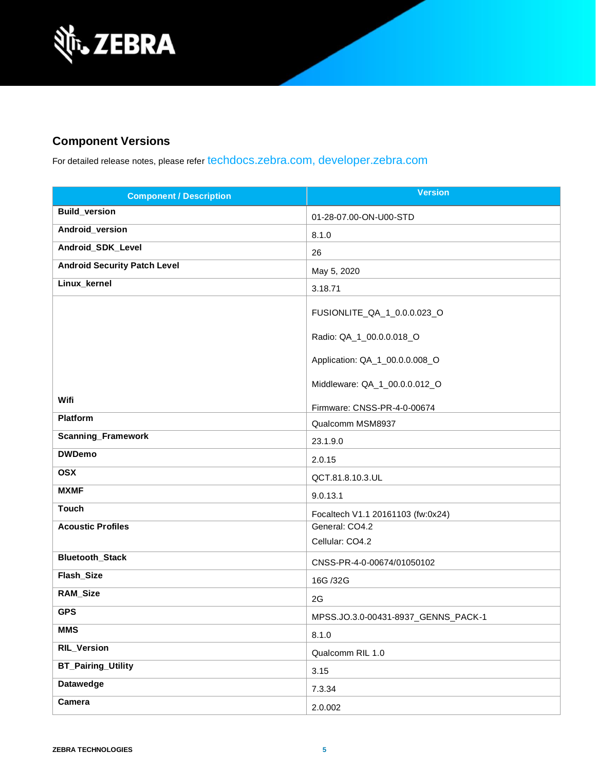

### **Component Versions**

For detailed release notes, please refer [techdocs.zebra.com,](https://techdocs.zebra.com/) [developer.zebra.com](https://developer.zebra.com/)

| <b>Component / Description</b>      | <b>Version</b>                      |
|-------------------------------------|-------------------------------------|
| <b>Build_version</b>                | 01-28-07.00-ON-U00-STD              |
| Android_version                     | 8.1.0                               |
| Android_SDK_Level                   | 26                                  |
| <b>Android Security Patch Level</b> | May 5, 2020                         |
| Linux_kernel                        | 3.18.71                             |
|                                     | FUSIONLITE_QA_1_0.0.0.023_O         |
|                                     | Radio: QA_1_00.0.0.018_O            |
|                                     | Application: QA_1_00.0.0.008_O      |
|                                     | Middleware: QA_1_00.0.0.012_O       |
| Wifi                                | Firmware: CNSS-PR-4-0-00674         |
| Platform                            | Qualcomm MSM8937                    |
| Scanning_Framework                  | 23.1.9.0                            |
| <b>DWDemo</b>                       | 2.0.15                              |
| <b>OSX</b>                          | QCT.81.8.10.3.UL                    |
| <b>MXMF</b>                         | 9.0.13.1                            |
| <b>Touch</b>                        | Focaltech V1.1 20161103 (fw:0x24)   |
| <b>Acoustic Profiles</b>            | General: CO4.2                      |
|                                     | Cellular: CO4.2                     |
| Bluetooth_Stack                     | CNSS-PR-4-0-00674/01050102          |
| Flash_Size                          | 16G /32G                            |
| RAM_Size                            | 2G                                  |
| <b>GPS</b>                          | MPSS.JO.3.0-00431-8937_GENNS_PACK-1 |
| <b>MMS</b>                          | 8.1.0                               |
| <b>RIL_Version</b>                  | Qualcomm RIL 1.0                    |
| <b>BT_Pairing_Utility</b>           | 3.15                                |
| <b>Datawedge</b>                    | 7.3.34                              |
| Camera                              | 2.0.002                             |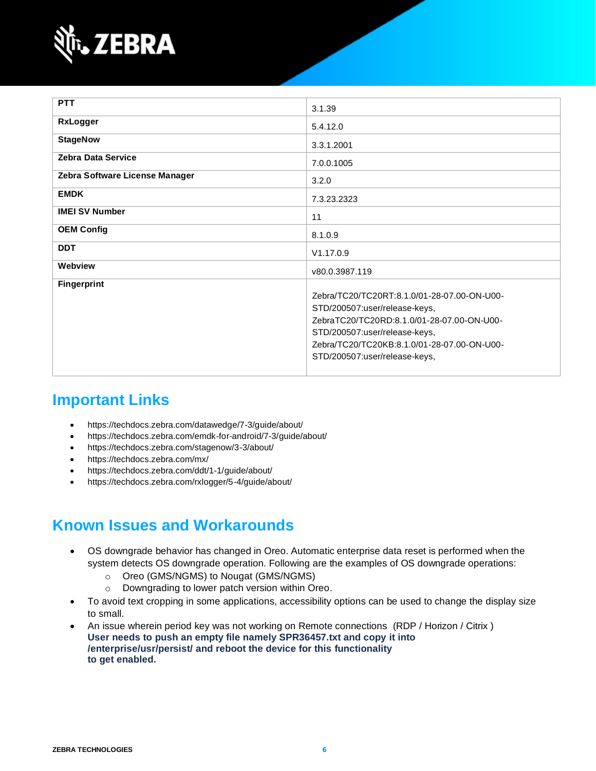

| <b>PTT</b>                     | 3.1.39                                                                                                                                                                                                                                      |
|--------------------------------|---------------------------------------------------------------------------------------------------------------------------------------------------------------------------------------------------------------------------------------------|
| <b>RxLogger</b>                | 5.4.12.0                                                                                                                                                                                                                                    |
| <b>StageNow</b>                | 3.3.1.2001                                                                                                                                                                                                                                  |
| <b>Zebra Data Service</b>      | 7.0.0.1005                                                                                                                                                                                                                                  |
| Zebra Software License Manager | 3.2.0                                                                                                                                                                                                                                       |
| <b>EMDK</b>                    | 7.3.23.2323                                                                                                                                                                                                                                 |
| <b>IMEI SV Number</b>          | 11                                                                                                                                                                                                                                          |
| <b>OEM Config</b>              | 8.1.0.9                                                                                                                                                                                                                                     |
| <b>DDT</b>                     | V1.17.0.9                                                                                                                                                                                                                                   |
| Webview                        | v80.0.3987.119                                                                                                                                                                                                                              |
| <b>Fingerprint</b>             | Zebra/TC20/TC20RT:8.1.0/01-28-07.00-ON-U00-<br>STD/200507:user/release-keys,<br>ZebraTC20/TC20RD:8.1.0/01-28-07.00-ON-U00-<br>STD/200507:user/release-keys,<br>Zebra/TC20/TC20KB:8.1.0/01-28-07.00-ON-U00-<br>STD/200507:user/release-keys, |

### **Important Links**

- <https://techdocs.zebra.com/datawedge/7-3/guide/about/>
- <https://techdocs.zebra.com/emdk-for-android/7-3/guide/about/>
- <https://techdocs.zebra.com/stagenow/3-3/about/>
- <https://techdocs.zebra.com/mx/>
- <https://techdocs.zebra.com/ddt/1-1/guide/about/>
- <https://techdocs.zebra.com/rxlogger/5-4/guide/about/>

## **Known Issues and Workarounds**

- OS downgrade behavior has changed in Oreo. Automatic enterprise data reset is performed when the system detects OS downgrade operation. Following are the examples of OS downgrade operations:
	- o Oreo (GMS/NGMS) to Nougat (GMS/NGMS)
	- o Downgrading to lower patch version within Oreo.
- To avoid text cropping in some applications, accessibility options can be used to change the display size to small.
- An issue wherein period key was not working on Remote connections (RDP / Horizon / Citrix ) **User needs to push an empty file namely SPR36457.txt and copy it into /enterprise/usr/persist/ and reboot the device for this functionality to get enabled.**